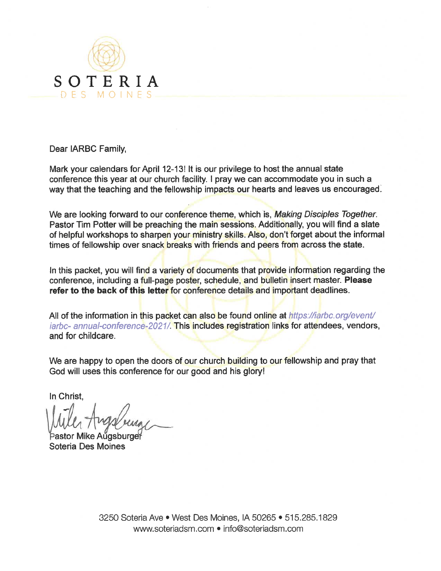

Dear IARBC Family,

Mark your calendars for April 12-13! It is our privilege to host the annual state conference this year at our church facility. I pray we can accommodate you in such a way that the teaching and the fellowship impacts our hearts and leaves us encouraged.

We are looking forward to our conference theme, which is, Making Disciples Together. Pastor Tim Potter will be preaching the main sessions. Additionally, you will find a slate of helpful workshops to sharpen your ministry skills. Also, don't forget about the informal times of fellowship over snack breaks with friends and peers from across the state.

In this packet, you will find a variety of documents that provide information regarding the conference, including a full-page poster, schedule, and bulletin insert master. Please refer to the back of this letter for conference details and important deadlines.

All of the information in this packet can also be found online at https://iarbc.org/event/ iarbc- annual-conference-2021/. This includes registration links for attendees, vendors, and for childcare.

We are happy to open the doors of our church building to our fellowship and pray that God will uses this conference for our good and his glory!

In Christ,

Mike Auasburaer Soteria Des Moines

3250 Soteria Ave • West Des Moines, IA 50265 • 515.285.1829 www.soteriadsm.com • info@soteriadsm.com